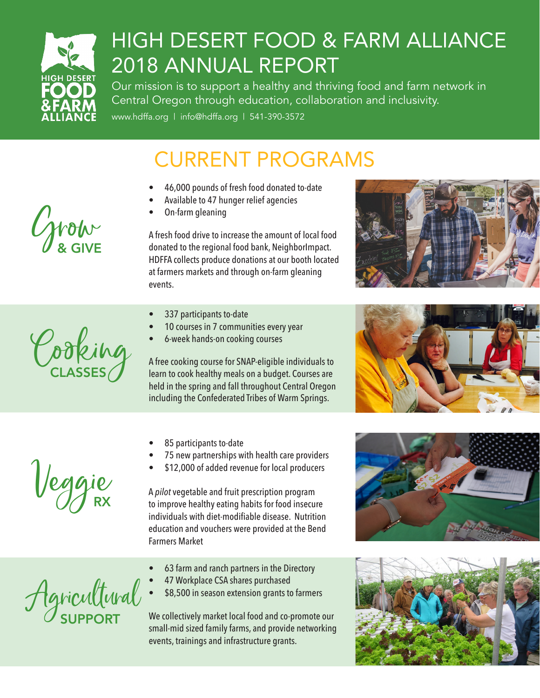

 $C_{\text{g}}$  of  $C_{\text{g}}$ 

## HIGH DESERT FOOD & FARM ALLIANCE 2018 ANNUAL REPORT

Our mission is to support a healthy and thriving food and farm network in Central Oregon through education, collaboration and inclusivity.

www.hdffa.org | info@hdffa.org | 541-390-3572

## CURRENT PROGRAMS

- 46,000 pounds of fresh food donated to-date
- Available to 47 hunger relief agencies
- On-farm gleaning

A fresh food drive to increase the amount of local food donated to the regional food bank, NeighborImpact. HDFFA collects produce donations at our booth located at farmers markets and through on-farm gleaning events.

- 337 participants to-date
- 10 courses in 7 communities every year
- 6-week hands-on cooking courses

A free cooking course for SNAP-eligible individuals to learn to cook healthy meals on a budget. Courses are held in the spring and fall throughout Central Oregon including the Confederated Tribes of Warm Springs.

- 85 participants to-date
- 75 new partnerships with health care providers
- \$12,000 of added revenue for local producers

A *pilot* vegetable and fruit prescription program to improve healthy eating habits for food insecure individuals with diet-modifiable disease. Nutrition education and vouchers were provided at the Bend Farmers Market

- 63 farm and ranch partners in the Directory
- 47 Workplace CSA shares purchased
- \$8,500 in season extension grants to farmers

We collectively market local food and co-promote our small-mid sized family farms, and provide networking events, trainings and infrastructure grants.











Veggie

Agricultural